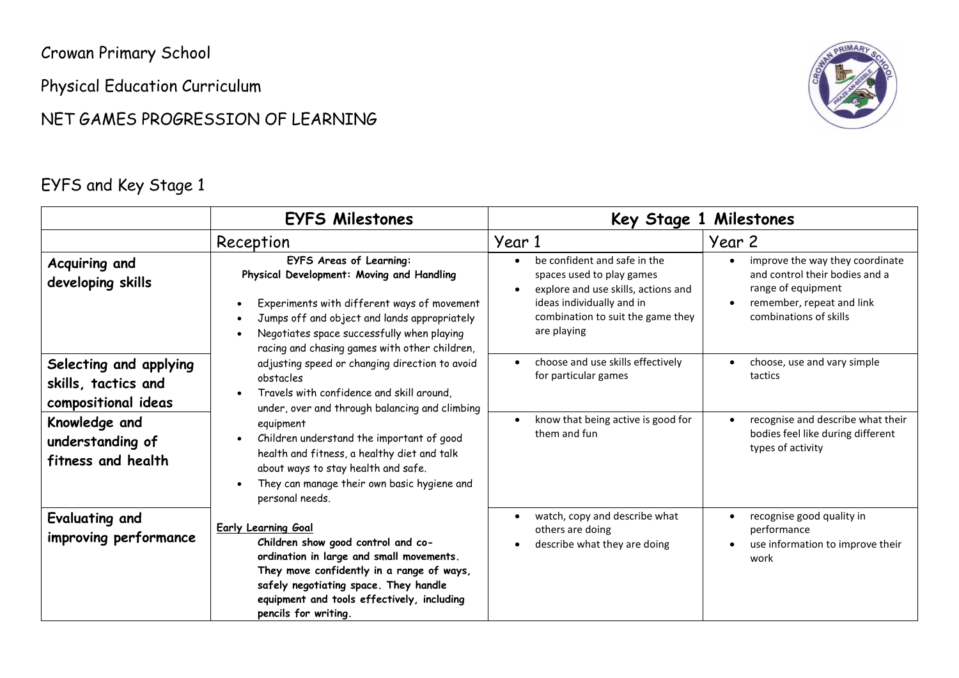Crowan Primary School

Physical Education Curriculum

### NET GAMES PROGRESSION OF LEARNING



### EYFS and Key Stage 1

|                                                                      | <b>EYFS Milestones</b>                                                                                                                                                                                                                                                    |                                                                                                                                                                                   | Key Stage 1 Milestones                                                                                                                                      |
|----------------------------------------------------------------------|---------------------------------------------------------------------------------------------------------------------------------------------------------------------------------------------------------------------------------------------------------------------------|-----------------------------------------------------------------------------------------------------------------------------------------------------------------------------------|-------------------------------------------------------------------------------------------------------------------------------------------------------------|
|                                                                      | Reception                                                                                                                                                                                                                                                                 | Year 1                                                                                                                                                                            | Year 2                                                                                                                                                      |
| Acquiring and<br>developing skills                                   | <b>EYFS Areas of Learning:</b><br>Physical Development: Moving and Handling<br>Experiments with different ways of movement<br>Jumps off and object and lands appropriately<br>Negotiates space successfully when playing<br>racing and chasing games with other children, | be confident and safe in the<br>spaces used to play games<br>explore and use skills, actions and<br>ideas individually and in<br>combination to suit the game they<br>are playing | improve the way they coordinate<br>$\bullet$<br>and control their bodies and a<br>range of equipment<br>remember, repeat and link<br>combinations of skills |
| Selecting and applying<br>skills, tactics and<br>compositional ideas | adjusting speed or changing direction to avoid<br>obstacles<br>Travels with confidence and skill around,<br>under, over and through balancing and climbing                                                                                                                | choose and use skills effectively<br>for particular games<br>know that being active is good for                                                                                   | choose, use and vary simple<br>tactics<br>recognise and describe what their<br>$\bullet$                                                                    |
| Knowledge and<br>understanding of<br>fitness and health              | equipment<br>Children understand the important of good<br>health and fitness, a healthy diet and talk<br>about ways to stay health and safe.<br>They can manage their own basic hygiene and<br>personal needs.                                                            | them and fun                                                                                                                                                                      | bodies feel like during different<br>types of activity                                                                                                      |
| Evaluating and<br>improving performance                              | <b>Early Learning Goal</b><br>Children show good control and co-<br>ordination in large and small movements.<br>They move confidently in a range of ways,<br>safely negotiating space. They handle<br>equipment and tools effectively, including<br>pencils for writing.  | watch, copy and describe what<br>$\bullet$<br>others are doing<br>describe what they are doing                                                                                    | recognise good quality in<br>performance<br>use information to improve their<br>work                                                                        |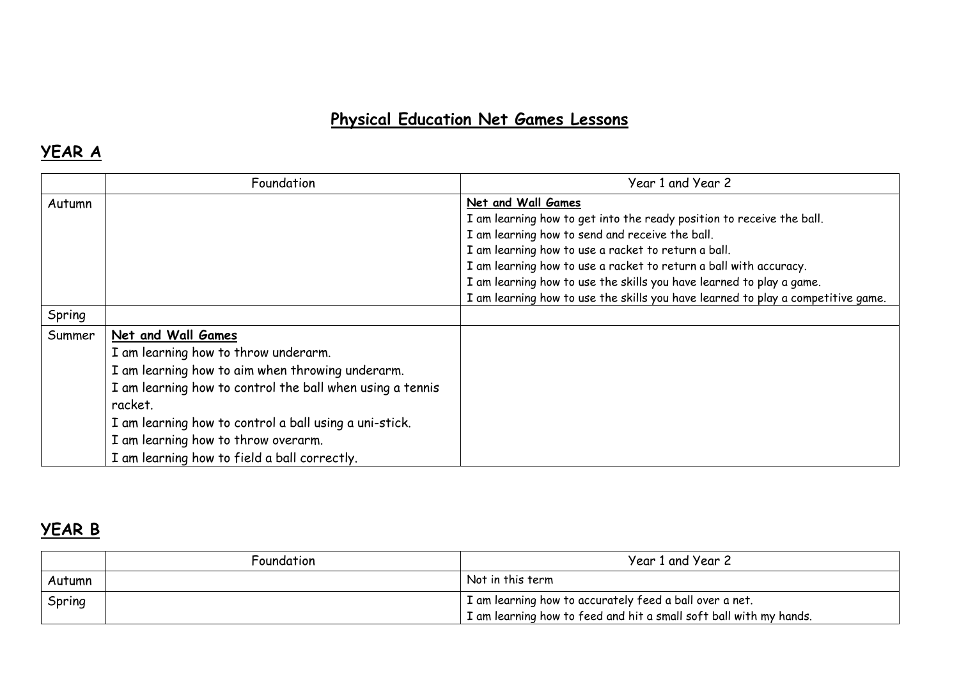# **Physical Education Net Games Lessons**

### **YEAR A**

|        | Foundation                                                | Year 1 and Year 2                                                                |
|--------|-----------------------------------------------------------|----------------------------------------------------------------------------------|
| Autumn |                                                           | Net and Wall Games                                                               |
|        |                                                           | I am learning how to get into the ready position to receive the ball.            |
|        |                                                           | I am learning how to send and receive the ball.                                  |
|        |                                                           | I am learning how to use a racket to return a ball.                              |
|        |                                                           | I am learning how to use a racket to return a ball with accuracy.                |
|        |                                                           | I am learning how to use the skills you have learned to play a game.             |
|        |                                                           | I am learning how to use the skills you have learned to play a competitive game. |
| Spring |                                                           |                                                                                  |
| Summer | Net and Wall Games                                        |                                                                                  |
|        | I am learning how to throw underarm.                      |                                                                                  |
|        | I am learning how to aim when throwing underarm.          |                                                                                  |
|        | I am learning how to control the ball when using a tennis |                                                                                  |
|        | racket.                                                   |                                                                                  |
|        | I am learning how to control a ball using a uni-stick.    |                                                                                  |
|        | I am learning how to throw overarm.                       |                                                                                  |
|        | I am learning how to field a ball correctly.              |                                                                                  |

#### **YEAR B**

|        | Foundation | Year 1 and Year 2                                                  |
|--------|------------|--------------------------------------------------------------------|
| Autumn |            | Not in this term                                                   |
| Spring |            | I am learning how to accurately feed a ball over a net.            |
|        |            | I am learning how to feed and hit a small soft ball with my hands. |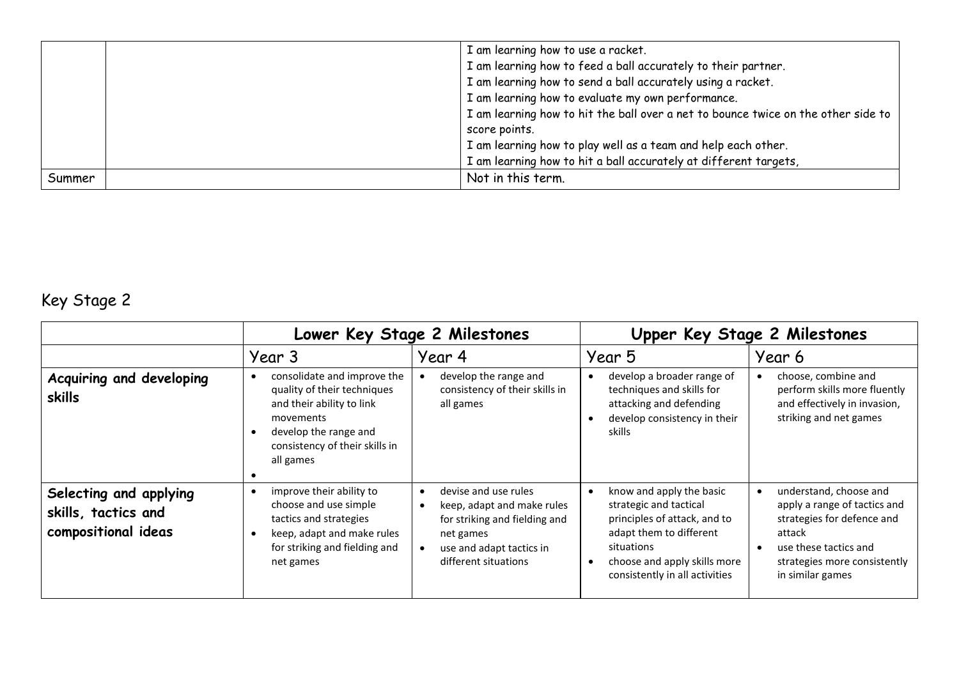|        | I am learning how to use a racket.                                                |
|--------|-----------------------------------------------------------------------------------|
|        | I am learning how to feed a ball accurately to their partner.                     |
|        | I am learning how to send a ball accurately using a racket.                       |
|        | I am learning how to evaluate my own performance.                                 |
|        | I am learning how to hit the ball over a net to bounce twice on the other side to |
|        | score points.                                                                     |
|        | I am learning how to play well as a team and help each other.                     |
|        | I am learning how to hit a ball accurately at different targets,                  |
| Summer | Not in this term.                                                                 |

# Key Stage 2

|                                                                      | Lower Key Stage 2 Milestones                                                                                                                                                 |                                                                                                                                                                                | Upper Key Stage 2 Milestones                                                                                                                                                                  |                                                                                                                                                                                          |
|----------------------------------------------------------------------|------------------------------------------------------------------------------------------------------------------------------------------------------------------------------|--------------------------------------------------------------------------------------------------------------------------------------------------------------------------------|-----------------------------------------------------------------------------------------------------------------------------------------------------------------------------------------------|------------------------------------------------------------------------------------------------------------------------------------------------------------------------------------------|
|                                                                      | Year 3                                                                                                                                                                       | Year 4                                                                                                                                                                         | Year 5                                                                                                                                                                                        | Year 6                                                                                                                                                                                   |
| Acquiring and developing<br>skills                                   | consolidate and improve the<br>quality of their techniques<br>and their ability to link<br>movements<br>develop the range and<br>consistency of their skills in<br>all games | develop the range and<br>consistency of their skills in<br>all games                                                                                                           | develop a broader range of<br>techniques and skills for<br>attacking and defending<br>develop consistency in their<br>skills                                                                  | choose, combine and<br>perform skills more fluently<br>and effectively in invasion,<br>striking and net games                                                                            |
| Selecting and applying<br>skills, tactics and<br>compositional ideas | improve their ability to<br>$\bullet$<br>choose and use simple<br>tactics and strategies<br>keep, adapt and make rules<br>for striking and fielding and<br>net games         | devise and use rules<br>$\bullet$<br>keep, adapt and make rules<br>$\bullet$<br>for striking and fielding and<br>net games<br>use and adapt tactics in<br>different situations | know and apply the basic<br>strategic and tactical<br>principles of attack, and to<br>adapt them to different<br>situations<br>choose and apply skills more<br>consistently in all activities | understand, choose and<br>$\bullet$<br>apply a range of tactics and<br>strategies for defence and<br>attack<br>use these tactics and<br>strategies more consistently<br>in similar games |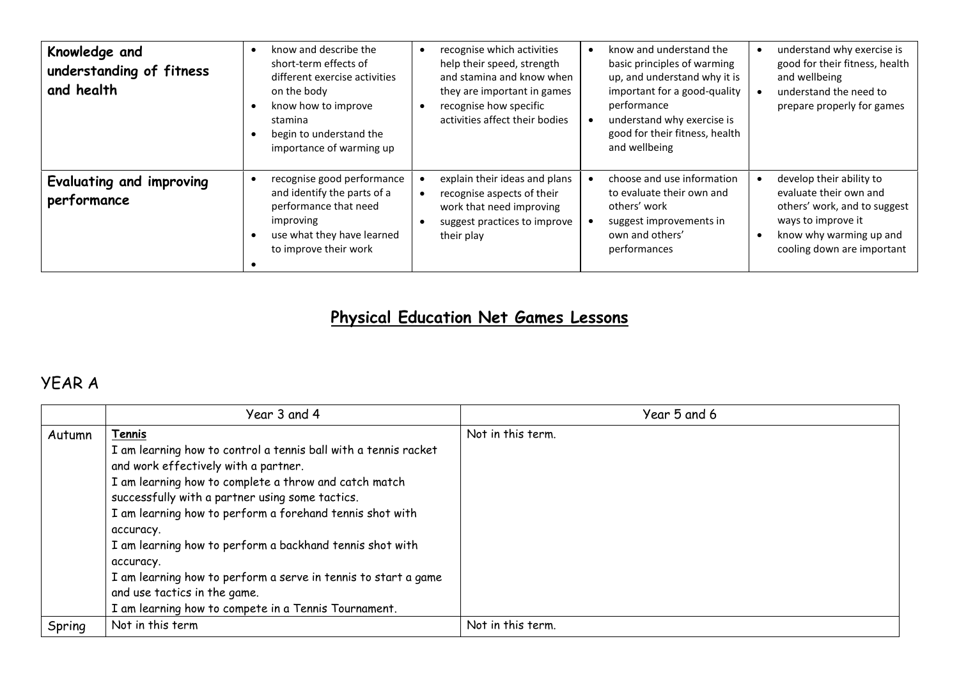| Knowledge and<br>understanding of fitness<br>and health | know and describe the<br>short-term effects of<br>different exercise activities<br>on the body<br>know how to improve<br>stamina<br>begin to understand the<br>importance of warming up | recognise which activities<br>help their speed, strength<br>and stamina and know when<br>they are important in games<br>recognise how specific<br>activities affect their bodies | know and understand the<br>basic principles of warming<br>up, and understand why it is<br>important for a good-quality<br>performance<br>understand why exercise is<br>good for their fitness, health<br>and wellbeing | understand why exercise is<br>good for their fitness, health<br>and wellbeing<br>understand the need to<br>prepare properly for games                             |
|---------------------------------------------------------|-----------------------------------------------------------------------------------------------------------------------------------------------------------------------------------------|----------------------------------------------------------------------------------------------------------------------------------------------------------------------------------|------------------------------------------------------------------------------------------------------------------------------------------------------------------------------------------------------------------------|-------------------------------------------------------------------------------------------------------------------------------------------------------------------|
| Evaluating and improving<br>performance                 | recognise good performance<br>and identify the parts of a<br>performance that need<br>improving<br>use what they have learned<br>to improve their work                                  | explain their ideas and plans<br>recognise aspects of their<br>work that need improving<br>suggest practices to improve<br>their play                                            | choose and use information<br>to evaluate their own and<br>others' work<br>suggest improvements in<br>own and others'<br>performances                                                                                  | develop their ability to<br>evaluate their own and<br>others' work, and to suggest<br>ways to improve it<br>know why warming up and<br>cooling down are important |

# **Physical Education Net Games Lessons**

#### YEAR A

|        | Year 3 and 4                                                    | Year 5 and 6      |
|--------|-----------------------------------------------------------------|-------------------|
| Autumn | Tennis                                                          | Not in this term. |
|        | I am learning how to control a tennis ball with a tennis racket |                   |
|        | and work effectively with a partner.                            |                   |
|        | I am learning how to complete a throw and catch match           |                   |
|        | successfully with a partner using some tactics.                 |                   |
|        | I am learning how to perform a forehand tennis shot with        |                   |
|        | accuracy.                                                       |                   |
|        | I am learning how to perform a backhand tennis shot with        |                   |
|        | accuracy.                                                       |                   |
|        | I am learning how to perform a serve in tennis to start a game  |                   |
|        | and use tactics in the game.                                    |                   |
|        | I am learning how to compete in a Tennis Tournament.            |                   |
| Spring | Not in this term                                                | Not in this term. |